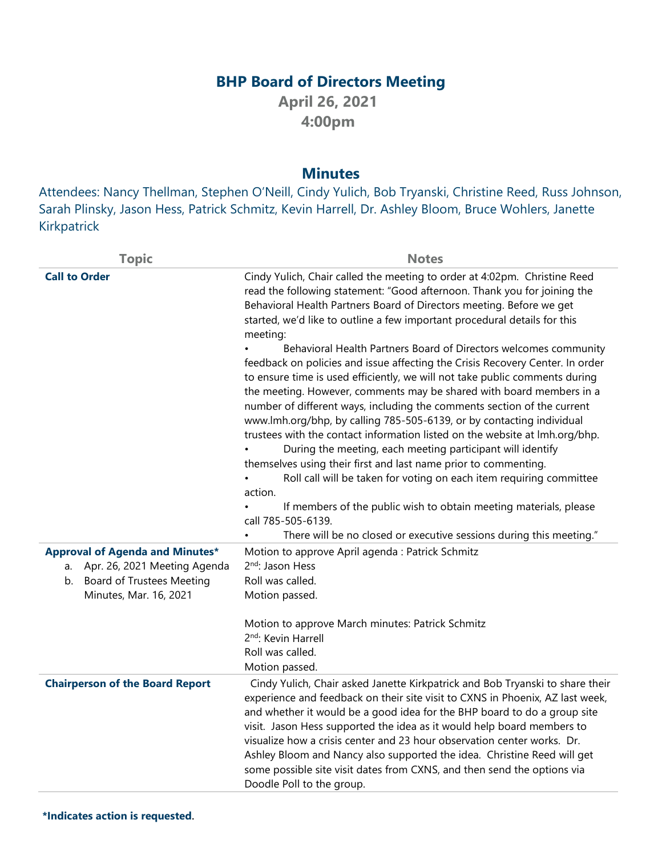## **BHP Board of Directors Meeting**

**April 26, 2021 4:00pm**

## **Minutes**

Attendees: Nancy Thellman, Stephen O'Neill, Cindy Yulich, Bob Tryanski, Christine Reed, Russ Johnson, Sarah Plinsky, Jason Hess, Patrick Schmitz, Kevin Harrell, Dr. Ashley Bloom, Bruce Wohlers, Janette Kirkpatrick

| <b>Call to Order</b><br>Cindy Yulich, Chair called the meeting to order at 4:02pm. Christine Reed<br>read the following statement: "Good afternoon. Thank you for joining the<br>Behavioral Health Partners Board of Directors meeting. Before we get<br>started, we'd like to outline a few important procedural details for this<br>meeting:<br>Behavioral Health Partners Board of Directors welcomes community<br>to ensure time is used efficiently, we will not take public comments during<br>the meeting. However, comments may be shared with board members in a<br>number of different ways, including the comments section of the current<br>www.lmh.org/bhp, by calling 785-505-6139, or by contacting individual<br>trustees with the contact information listed on the website at lmh.org/bhp.<br>During the meeting, each meeting participant will identify<br>themselves using their first and last name prior to commenting.<br>Roll call will be taken for voting on each item requiring committee<br>action.<br>If members of the public wish to obtain meeting materials, please<br>call 785-505-6139.<br>There will be no closed or executive sessions during this meeting."<br><b>Approval of Agenda and Minutes*</b><br>Motion to approve April agenda : Patrick Schmitz<br>2 <sup>nd</sup> : Jason Hess<br>Apr. 26, 2021 Meeting Agenda<br>a.<br><b>Board of Trustees Meeting</b><br>Roll was called.<br>b.<br>Minutes, Mar. 16, 2021<br>Motion passed.<br>Motion to approve March minutes: Patrick Schmitz<br>2 <sup>nd</sup> : Kevin Harrell<br>Roll was called.<br>Motion passed.<br><b>Chairperson of the Board Report</b><br>Cindy Yulich, Chair asked Janette Kirkpatrick and Bob Tryanski to share their<br>and whether it would be a good idea for the BHP board to do a group site<br>visit. Jason Hess supported the idea as it would help board members to<br>visualize how a crisis center and 23 hour observation center works. Dr.<br>Ashley Bloom and Nancy also supported the idea. Christine Reed will get | <b>Topic</b> | <b>Notes</b>                                                                  |
|-----------------------------------------------------------------------------------------------------------------------------------------------------------------------------------------------------------------------------------------------------------------------------------------------------------------------------------------------------------------------------------------------------------------------------------------------------------------------------------------------------------------------------------------------------------------------------------------------------------------------------------------------------------------------------------------------------------------------------------------------------------------------------------------------------------------------------------------------------------------------------------------------------------------------------------------------------------------------------------------------------------------------------------------------------------------------------------------------------------------------------------------------------------------------------------------------------------------------------------------------------------------------------------------------------------------------------------------------------------------------------------------------------------------------------------------------------------------------------------------------------------------------------------------------------------------------------------------------------------------------------------------------------------------------------------------------------------------------------------------------------------------------------------------------------------------------------------------------------------------------------------------------------------------------------------------------------------------------------------------------------------------------------------------------------|--------------|-------------------------------------------------------------------------------|
|                                                                                                                                                                                                                                                                                                                                                                                                                                                                                                                                                                                                                                                                                                                                                                                                                                                                                                                                                                                                                                                                                                                                                                                                                                                                                                                                                                                                                                                                                                                                                                                                                                                                                                                                                                                                                                                                                                                                                                                                                                                     |              |                                                                               |
|                                                                                                                                                                                                                                                                                                                                                                                                                                                                                                                                                                                                                                                                                                                                                                                                                                                                                                                                                                                                                                                                                                                                                                                                                                                                                                                                                                                                                                                                                                                                                                                                                                                                                                                                                                                                                                                                                                                                                                                                                                                     |              | feedback on policies and issue affecting the Crisis Recovery Center. In order |
|                                                                                                                                                                                                                                                                                                                                                                                                                                                                                                                                                                                                                                                                                                                                                                                                                                                                                                                                                                                                                                                                                                                                                                                                                                                                                                                                                                                                                                                                                                                                                                                                                                                                                                                                                                                                                                                                                                                                                                                                                                                     |              |                                                                               |
|                                                                                                                                                                                                                                                                                                                                                                                                                                                                                                                                                                                                                                                                                                                                                                                                                                                                                                                                                                                                                                                                                                                                                                                                                                                                                                                                                                                                                                                                                                                                                                                                                                                                                                                                                                                                                                                                                                                                                                                                                                                     |              |                                                                               |
|                                                                                                                                                                                                                                                                                                                                                                                                                                                                                                                                                                                                                                                                                                                                                                                                                                                                                                                                                                                                                                                                                                                                                                                                                                                                                                                                                                                                                                                                                                                                                                                                                                                                                                                                                                                                                                                                                                                                                                                                                                                     |              |                                                                               |
|                                                                                                                                                                                                                                                                                                                                                                                                                                                                                                                                                                                                                                                                                                                                                                                                                                                                                                                                                                                                                                                                                                                                                                                                                                                                                                                                                                                                                                                                                                                                                                                                                                                                                                                                                                                                                                                                                                                                                                                                                                                     |              |                                                                               |
|                                                                                                                                                                                                                                                                                                                                                                                                                                                                                                                                                                                                                                                                                                                                                                                                                                                                                                                                                                                                                                                                                                                                                                                                                                                                                                                                                                                                                                                                                                                                                                                                                                                                                                                                                                                                                                                                                                                                                                                                                                                     |              |                                                                               |
|                                                                                                                                                                                                                                                                                                                                                                                                                                                                                                                                                                                                                                                                                                                                                                                                                                                                                                                                                                                                                                                                                                                                                                                                                                                                                                                                                                                                                                                                                                                                                                                                                                                                                                                                                                                                                                                                                                                                                                                                                                                     |              |                                                                               |
|                                                                                                                                                                                                                                                                                                                                                                                                                                                                                                                                                                                                                                                                                                                                                                                                                                                                                                                                                                                                                                                                                                                                                                                                                                                                                                                                                                                                                                                                                                                                                                                                                                                                                                                                                                                                                                                                                                                                                                                                                                                     |              |                                                                               |
|                                                                                                                                                                                                                                                                                                                                                                                                                                                                                                                                                                                                                                                                                                                                                                                                                                                                                                                                                                                                                                                                                                                                                                                                                                                                                                                                                                                                                                                                                                                                                                                                                                                                                                                                                                                                                                                                                                                                                                                                                                                     |              |                                                                               |
|                                                                                                                                                                                                                                                                                                                                                                                                                                                                                                                                                                                                                                                                                                                                                                                                                                                                                                                                                                                                                                                                                                                                                                                                                                                                                                                                                                                                                                                                                                                                                                                                                                                                                                                                                                                                                                                                                                                                                                                                                                                     |              |                                                                               |
|                                                                                                                                                                                                                                                                                                                                                                                                                                                                                                                                                                                                                                                                                                                                                                                                                                                                                                                                                                                                                                                                                                                                                                                                                                                                                                                                                                                                                                                                                                                                                                                                                                                                                                                                                                                                                                                                                                                                                                                                                                                     |              |                                                                               |
| some possible site visit dates from CXNS, and then send the options via<br>Doodle Poll to the group.                                                                                                                                                                                                                                                                                                                                                                                                                                                                                                                                                                                                                                                                                                                                                                                                                                                                                                                                                                                                                                                                                                                                                                                                                                                                                                                                                                                                                                                                                                                                                                                                                                                                                                                                                                                                                                                                                                                                                |              | experience and feedback on their site visit to CXNS in Phoenix, AZ last week, |